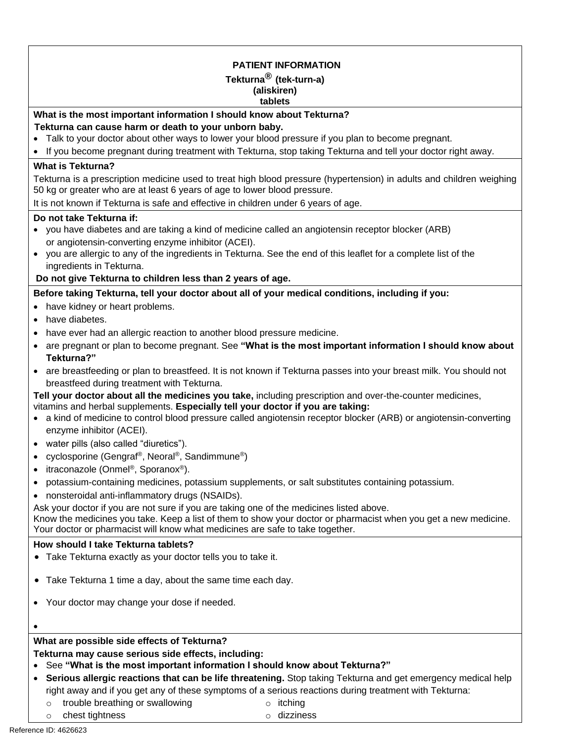• If you become pregnant during treatment with Tekturna, stop taking Tekturna and tell your doctor right away. **PATIENT INFORMATION Tekturna® (tek-turn-a) (aliskiren) tablets What is the most important information I should know about Tekturna? Tekturna can cause harm or death to your unborn baby.**  • Talk to your doctor about other ways to lower your blood pressure if you plan to become pregnant. **What is Tekturna?**  Tekturna is a prescription medicine used to treat high blood pressure (hypertension) in adults and children weighing 50 kg or greater who are at least 6 years of age to lower blood pressure. It is not known if Tekturna is safe and effective in children under 6 years of age. **Do not take Tekturna if:**  • you have diabetes and are taking a kind of medicine called an angiotensin receptor blocker (ARB) or angiotensin-converting enzyme inhibitor (ACEI). • you are allergic to any of the ingredients in Tekturna. See the end of this leaflet for a complete list of the ingredients in Tekturna. **Do not give Tekturna to children less than 2 years of age. Before taking Tekturna, tell your doctor about all of your medical conditions, including if you:**  • have kidney or heart problems. • have diabetes. • have ever had an allergic reaction to another blood pressure medicine. • are pregnant or plan to become pregnant. See **"What is the most important information I should know about Tekturna?"**  • are breastfeeding or plan to breastfeed. It is not known if Tekturna passes into your breast milk. You should not breastfeed during treatment with Tekturna. **Tell your doctor about all the medicines you take,** including prescription and over-the-counter medicines, vitamins and herbal supplements. **Especially tell your doctor if you are taking:**  • a kind of medicine to control blood pressure called angiotensin receptor blocker (ARB) or angiotensin-converting enzyme inhibitor (ACEI). • water pills (also called "diuretics"). • cyclosporine (Gengraf®, Neoral®, Sandimmune®) • itraconazole (Onmel<sup>®</sup>, Sporanox<sup>®</sup>). • potassium-containing medicines, potassium supplements, or salt substitutes containing potassium. • nonsteroidal anti-inflammatory drugs (NSAIDs). Ask your doctor if you are not sure if you are taking one of the medicines listed above. Know the medicines you take. Keep a list of them to show your doctor or pharmacist when you get a new medicine. Your doctor or pharmacist will know what medicines are safe to take together. **How should I take Tekturna tablets?**  • Take Tekturna exactly as your doctor tells you to take it. • Take Tekturna 1 time a day, about the same time each day. • Your doctor may change your dose if needed. •

# **What are possible side effects of Tekturna?**

## **Tekturna may cause serious side effects, including:**

# • See **"What is the most important information I should know about Tekturna?"**

- **Serious allergic reactions that can be life threatening.** Stop taking Tekturna and get emergency medical help right away and if you get any of these symptoms of a serious reactions during treatment with Tekturna:
	- o trouble breathing or swallowing
	- o chest tightness
- o itching
- o dizziness